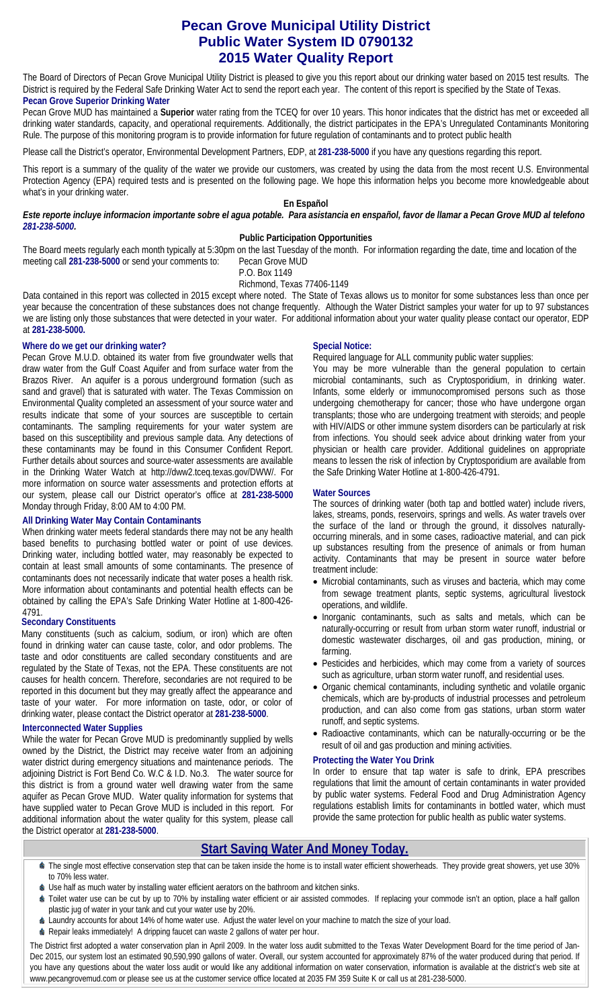# **Pecan Grove Municipal Utility District Public Water System ID 0790132 2015 Water Quality Report**

The Board of Directors of Pecan Grove Municipal Utility District is pleased to give you this report about our drinking water based on 2015 test results. The District is required by the Federal Safe Drinking Water Act to send the report each year. The content of this report is specified by the State of Texas. **Pecan Grove Superior Drinking Water** 

Pecan Grove MUD has maintained a **Superior** water rating from the TCEQ for over 10 years. This honor indicates that the district has met or exceeded all drinking water standards, capacity, and operational requirements. Additionally, the district participates in the EPA's Unregulated Contaminants Monitoring Rule. The purpose of this monitoring program is to provide information for future regulation of contaminants and to protect public health

Please call the District's operator, Environmental Development Partners, EDP, at **281-238-5000** if you have any questions regarding this report.

This report is a summary of the quality of the water we provide our customers, was created by using the data from the most recent U.S. Environmental Protection Agency (EPA) required tests and is presented on the following page. We hope this information helps you become more knowledgeable about what's in your drinking water.

# **En Español**

*Este reporte incluye informacion importante sobre el agua potable. Para asistancia en enspañol, favor de llamar a Pecan Grove MUD al telefono 281-238-5000.* 

### **Public Participation Opportunities**

The Board meets regularly each month typically at 5:30pm on the last Tuesday of the month. For information regarding the date, time and location of the meeting call **281-238-5000** or send your comments to: Pecan Grove MUD

P.O. Box 1149

Richmond, Texas 77406-1149

Data contained in this report was collected in 2015 except where noted. The State of Texas allows us to monitor for some substances less than once per year because the concentration of these substances does not change frequently. Although the Water District samples your water for up to 97 substances we are listing only those substances that were detected in your water. For additional information about your water quality please contact our operator, EDP at **281-238-5000.** 

# **Where do we get our drinking water?**

Pecan Grove M.U.D. obtained its water from five groundwater wells that draw water from the Gulf Coast Aquifer and from surface water from the Brazos River. An aquifer is a porous underground formation (such as sand and gravel) that is saturated with water. The Texas Commission on Environmental Quality completed an assessment of your source water and results indicate that some of your sources are susceptible to certain contaminants. The sampling requirements for your water system are based on this susceptibility and previous sample data. Any detections of these contaminants may be found in this Consumer Confident Report. Further details about sources and source-water assessments are available in the Drinking Water Watch at http://dww2.tceq.texas.gov/DWW/. For more information on source water assessments and protection efforts at our system, please call our District operator's office at **281-238-5000**  Monday through Friday, 8:00 AM to 4:00 PM.

# **All Drinking Water May Contain Contaminants**

When drinking water meets federal standards there may not be any health based benefits to purchasing bottled water or point of use devices. Drinking water, including bottled water, may reasonably be expected to contain at least small amounts of some contaminants. The presence of contaminants does not necessarily indicate that water poses a health risk. More information about contaminants and potential health effects can be obtained by calling the EPA's Safe Drinking Water Hotline at 1-800-426- 4791.

# **Secondary Constituents**

Many constituents (such as calcium, sodium, or iron) which are often found in drinking water can cause taste, color, and odor problems. The taste and odor constituents are called secondary constituents and are regulated by the State of Texas, not the EPA. These constituents are not causes for health concern. Therefore, secondaries are not required to be reported in this document but they may greatly affect the appearance and taste of your water. For more information on taste, odor, or color of drinking water, please contact the District operator at **281-238-5000**.

# **Interconnected Water Supplies**

While the water for Pecan Grove MUD is predominantly supplied by wells owned by the District, the District may receive water from an adjoining water district during emergency situations and maintenance periods. The adjoining District is Fort Bend Co. W.C & I.D. No.3. The water source for this district is from a ground water well drawing water from the same aquifer as Pecan Grove MUD. Water quality information for systems that have supplied water to Pecan Grove MUD is included in this report. For additional information about the water quality for this system, please call the District operator at **281-238-5000**.

# **Special Notice:**

Required language for ALL community public water supplies:

You may be more vulnerable than the general population to certain microbial contaminants, such as Cryptosporidium, in drinking water. Infants, some elderly or immunocompromised persons such as those undergoing chemotherapy for cancer; those who have undergone organ transplants; those who are undergoing treatment with steroids; and people with HIV/AIDS or other immune system disorders can be particularly at risk from infections. You should seek advice about drinking water from your physician or health care provider. Additional guidelines on appropriate means to lessen the risk of infection by Cryptosporidium are available from the Safe Drinking Water Hotline at 1-800-426-4791.

# **Water Sources**

The sources of drinking water (both tap and bottled water) include rivers, lakes, streams, ponds, reservoirs, springs and wells. As water travels over the surface of the land or through the ground, it dissolves naturallyoccurring minerals, and in some cases, radioactive material, and can pick up substances resulting from the presence of animals or from human activity. Contaminants that may be present in source water before treatment include:

- Microbial contaminants, such as viruses and bacteria, which may come from sewage treatment plants, septic systems, agricultural livestock operations, and wildlife.
- Inorganic contaminants, such as salts and metals, which can be naturally-occurring or result from urban storm water runoff, industrial or domestic wastewater discharges, oil and gas production, mining, or farming.
- Pesticides and herbicides, which may come from a variety of sources such as agriculture, urban storm water runoff, and residential uses.
- Organic chemical contaminants, including synthetic and volatile organic chemicals, which are by-products of industrial processes and petroleum production, and can also come from gas stations, urban storm water runoff, and septic systems.
- Radioactive contaminants, which can be naturally-occurring or be the result of oil and gas production and mining activities.

#### **Protecting the Water You Drink**

In order to ensure that tap water is safe to drink, EPA prescribes regulations that limit the amount of certain contaminants in water provided by public water systems. Federal Food and Drug Administration Agency regulations establish limits for contaminants in bottled water, which must provide the same protection for public health as public water systems.

# **Start Saving Water And Money Today.**

- The single most effective conservation step that can be taken inside the home is to install water efficient showerheads. They provide great showers, yet use 30% to 70% less water.
- Use half as much water by installing water efficient aerators on the bathroom and kitchen sinks.
- Toilet water use can be cut by up to 70% by installing water efficient or air assisted commodes. If replacing your commode isn't an option, place a half gallon plastic jug of water in your tank and cut your water use by 20%.
- Laundry accounts for about 14% of home water use. Adjust the water level on your machine to match the size of your load.
- Repair leaks immediately! A dripping faucet can waste 2 gallons of water per hour.

The District first adopted a water conservation plan in April 2009. In the water loss audit submitted to the Texas Water Development Board for the time period of Jan-Dec 2015, our system lost an estimated 90,590,990 gallons of water. Overall, our system accounted for approximately 87% of the water produced during that period. If you have any questions about the water loss audit or would like any additional information on water conservation, information is available at the district's web site at www.pecangrovemud.com or please see us at the customer service office located at 2035 FM 359 Suite K or call us at 281-238-5000.